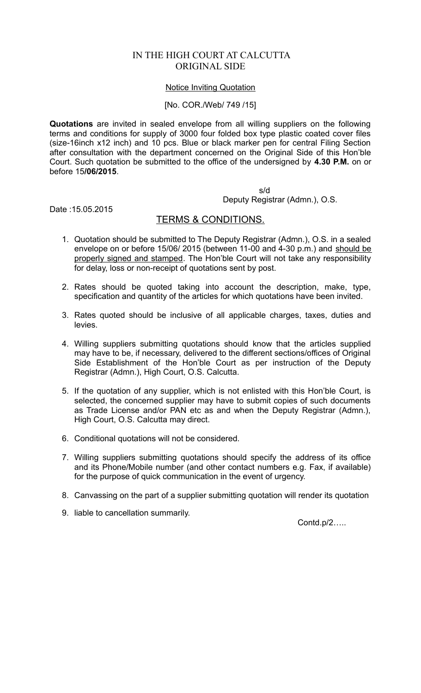# IN THE HIGH COURT AT CALCUTTA ORIGINAL SIDE

#### Notice Inviting Quotation

#### [No. COR./Web/ 749 /15]

**Quotations** are invited in sealed envelope from all willing suppliers on the following terms and conditions for supply of 3000 four folded box type plastic coated cover files (size-16inch x12 inch) and 10 pcs. Blue or black marker pen for central Filing Section after consultation with the department concerned on the Original Side of this Hon'ble Court. Such quotation be submitted to the office of the undersigned by **4.30 P.M.** on or before 15**/06/2015**.

s/d

Deputy Registrar (Admn.), O.S.

Date :15.05.2015

## TERMS & CONDITIONS.

- 1. Quotation should be submitted to The Deputy Registrar (Admn.), O.S. in a sealed envelope on or before 15/06/ 2015 (between 11-00 and  $4-30$  p.m.) and should be properly signed and stamped. The Hon'ble Court will not take any responsibility for delay, loss or non-receipt of quotations sent by post.
- 2. Rates should be quoted taking into account the description, make, type, specification and quantity of the articles for which quotations have been invited.
- 3. Rates quoted should be inclusive of all applicable charges, taxes, duties and levies.
- 4. Willing suppliers submitting quotations should know that the articles supplied may have to be, if necessary, delivered to the different sections/offices of Original Side Establishment of the Hon'ble Court as per instruction of the Deputy Registrar (Admn.), High Court, O.S. Calcutta.
- 5. If the quotation of any supplier, which is not enlisted with this Hon'ble Court, is selected, the concerned supplier may have to submit copies of such documents as Trade License and/or PAN etc as and when the Deputy Registrar (Admn.), High Court, O.S. Calcutta may direct.
- 6. Conditional quotations will not be considered.
- 7. Willing suppliers submitting quotations should specify the address of its office and its Phone/Mobile number (and other contact numbers e.g. Fax, if available) for the purpose of quick communication in the event of urgency.
- 8. Canvassing on the part of a supplier submitting quotation will render its quotation
- 9. liable to cancellation summarily.

Contd.p/2…..